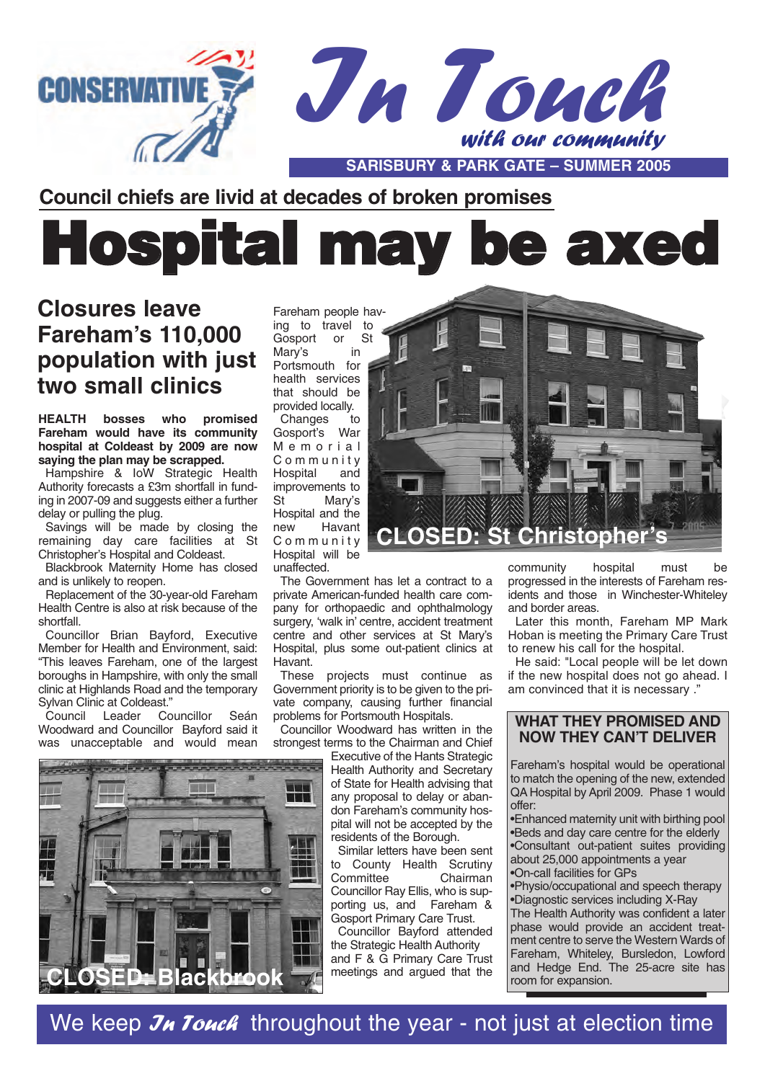

### **Council chiefs are livid at decades of broken promises**

# Hospital may be axed

## **Closures leave Fareham's 110,000 population with just two small clinics**

**HEALTH bosses who promised Fareham would have its community hospital at Coldeast by 2009 are now saying the plan may be scrapped.**

Hampshire & IoW Strategic Health Authority forecasts a £3m shortfall in funding in 2007-09 and suggests either a further delay or pulling the plug.

Savings will be made by closing the remaining day care facilities at St Christopher's Hospital and Coldeast.

Blackbrook Maternity Home has closed and is unlikely to reopen.

Replacement of the 30-year-old Fareham Health Centre is also at risk because of the shortfall.

Councillor Brian Bayford, Executive Member for Health and Environment, said: "This leaves Fareham, one of the largest boroughs in Hampshire, with only the small clinic at Highlands Road and the temporary Sylvan Clinic at Coldeast."<br>Council Leader Co

Councillor Seán Woodward and Councillor Bayford said it was unacceptable and would mean



Fareham people having to travel to Gosport or St Mary's in Portsmouth for health services that should be provided locally. Changes to Gosport's War Memorial Community Hospital and improvements to St Mary's Hospital and the<br>new Havant Havant Community Hospital will be unaffected.

The Government has let a contract to a private American-funded health care company for orthopaedic and ophthalmology surgery, 'walk in' centre, accident treatment centre and other services at St Mary's Hospital, plus some out-patient clinics at Havant.

These projects must continue as Government priority is to be given to the private company, causing further financial problems for Portsmouth Hospitals.

Councillor Woodward has written in the strongest terms to the Chairman and Chief

Executive of the Hants Strategic Health Authority and Secretary of State for Health advising that any proposal to delay or abandon Fareham's community hospital will not be accepted by the residents of the Borough.

Similar letters have been sent to County Health Scrutiny<br>Committee Chairman Committee Councillor Ray Ellis, who is supporting us, and Fareham & Gosport Primary Care Trust.

Councillor Bayford attended the Strategic Health Authority and F & G Primary Care Trust meetings and argued that the



community hospital must be progressed in the interests of Fareham residents and those in Winchester-Whiteley and border areas.

Later this month, Fareham MP Mark Hoban is meeting the Primary Care Trust to renew his call for the hospital.

He said: "Local people will be let down if the new hospital does not go ahead. I am convinced that it is necessary ."

#### **WHAT THEY PROMISED AND NOW THEY CAN'T DELIVER**

Fareham's hospital would be operational to match the opening of the new, extended QA Hospital by April 2009. Phase 1 would offer:

•Enhanced maternity unit with birthing pool •Beds and day care centre for the elderly •Consultant out-patient suites providing about 25,000 appointments a year •On-call facilities for GPs

•Physio/occupational and speech therapy •Diagnostic services including X-Ray

The Health Authority was confident a later phase would provide an accident treatment centre to serve the Western Wards of Fareham, Whiteley, Bursledon, Lowford and Hedge End. The 25-acre site has room for expansion.

We keep  $\mathcal{J}_H$  Touch throughout the year - not just at election time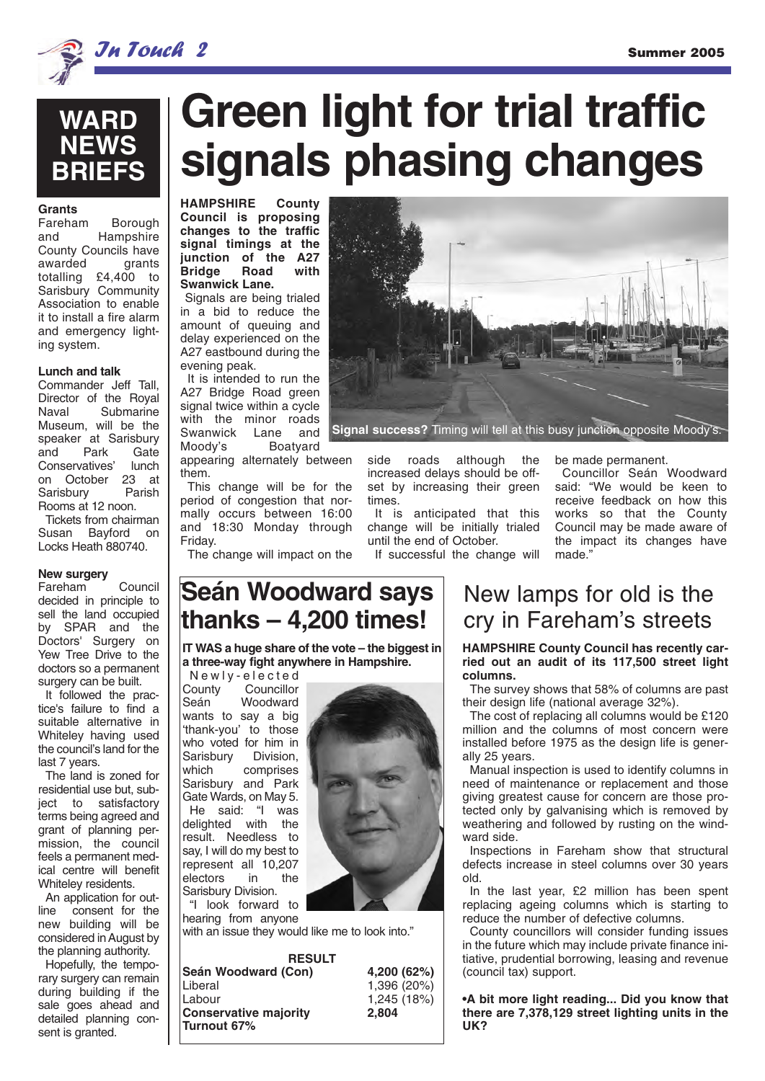



## **Grants**

**Borough** and Hampshire **County Councils have**<br>awarded **grants** awarded totalling £4,400 to Sarisbury Community Association to enable it to install a fire alarm and emergency lighting system.

#### **Lunch and talk**

Commander Jeff Tall, Director of the Royal<br>Naval Submarine Submarine Museum, will be the speaker at Sarisbury and Park Gate<br>Conservatives' lunch Conservatives' on October 23 at<br>Sarisbury Parish Sarisburv Rooms at 12 noon. Tickets from chairman Susan Bayford on Locks Heath 880740.

#### **New surgery**

Fareham Council decided in principle to sell the land occupied by SPAR and the Doctors' Surgery on Yew Tree Drive to the doctors so a permanent surgery can be built.

It followed the practice's failure to find a suitable alternative in Whiteley having used the council's land for the last 7 years.

The land is zoned for residential use but, subject to satisfactory terms being agreed and grant of planning permission, the council feels a permanent medical centre will benefit Whiteley residents.

An application for outline consent for the new building will be considered in August by the planning authority.

Hopefully, the temporary surgery can remain during building if the sale goes ahead and detailed planning consent is granted.

## **Green light for trial traffic signals phasing changes**

**HAMPSHIRE County Council is proposing changes to the traffic signal timings at the junction of the A27 Bridge Road with Swanwick Lane.**

Signals are being trialed in a bid to reduce the amount of queuing and delay experienced on the A27 eastbound during the evening peak.

It is intended to run the A27 Bridge Road green signal twice within a cycle with the minor roads Swanwick Lane and Moody's Boatyard appearing alternately between

them.

This change will be for the period of congestion that normally occurs between 16:00 and 18:30 Monday through Friday.

The change will impact on the



**Signal success?** Timing will tell at this busy junction opposite Moody's.

side roads although the increased delays should be offset by increasing their green times.

It is anticipated that this change will be initially trialed until the end of October. If successful the change will

Councillor Seán Woodward

be made permanent.

said: "We would be keen to receive feedback on how this works so that the County Council may be made aware of the impact its changes have made."

## **Seán Woodward says thanks – 4,200 times!**

**IT WAS a huge share of the vote – the biggest in a three-way fight anywhere in Hampshire.**

Newly-elected<br>County Councillor County Councillor<br>Seán Woodward Woodward wants to say a big 'thank-you' to those who voted for him in<br>Sarisbury Division Sarisbury which comprises Sarisbury and Park Gate Wards, on May 5. He said: "I was delighted with the result. Needless to say, I will do my best to represent all 10,207 electors in Sarisbury Division.

"I look forward to hearing from anyone

with an issue they would like me to look into."

**RESULT Seán Woodward (Con) 4,200 (62%)** Liberal 1,396 (20%) **Conservative majority Turnout 67%**



 $1,245$  (18%)<br>2.804

## New lamps for old is the cry in Fareham's streets

**HAMPSHIRE County Council has recently carried out an audit of its 117,500 street light columns.** 

The survey shows that 58% of columns are past their design life (national average 32%).

The cost of replacing all columns would be £120 million and the columns of most concern were installed before 1975 as the design life is generally 25 years.

Manual inspection is used to identify columns in need of maintenance or replacement and those giving greatest cause for concern are those protected only by galvanising which is removed by weathering and followed by rusting on the windward side.

Inspections in Fareham show that structural defects increase in steel columns over 30 years old.

In the last year, £2 million has been spent replacing ageing columns which is starting to reduce the number of defective columns.

County councillors will consider funding issues in the future which may include private finance initiative, prudential borrowing, leasing and revenue (council tax) support.

**•A bit more light reading... Did you know that there are 7,378,129 street lighting units in the UK?**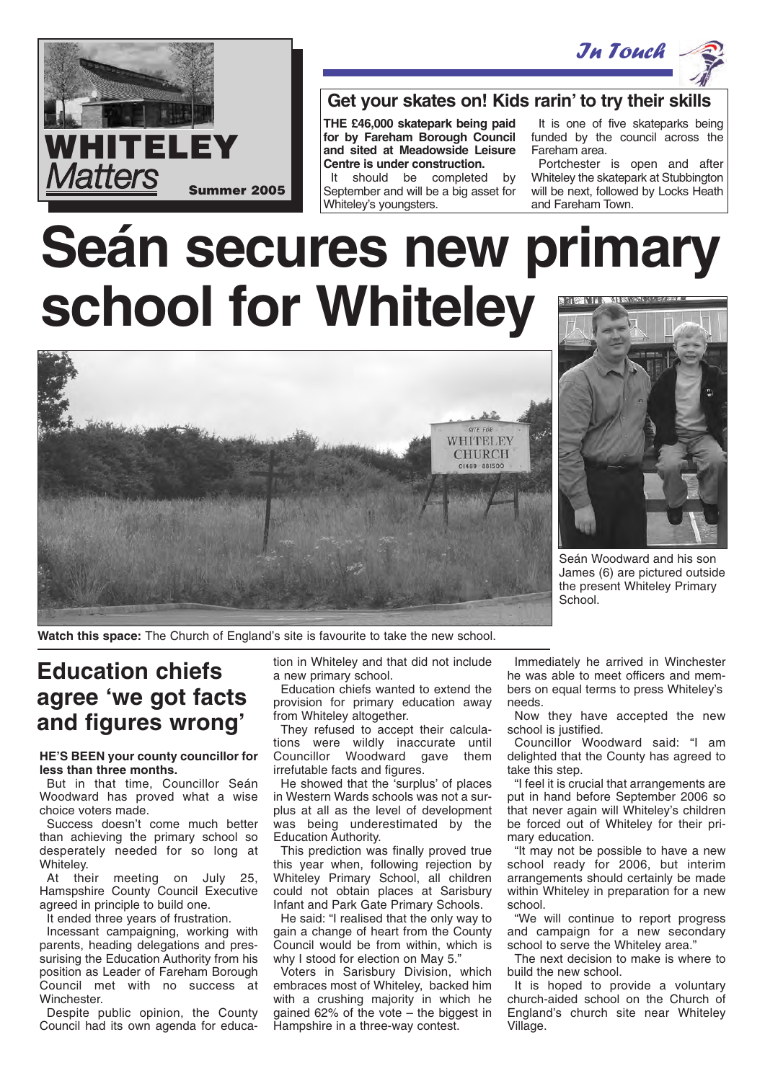



#### **Get your skates on! Kids rarin' to try their skills**

**THE £46,000 skatepark being paid for by Fareham Borough Council and sited at Meadowside Leisure Centre is under construction.** 

It should be completed by September and will be a big asset for Whiteley's youngsters.

It is one of five skateparks being funded by the council across the Fareham area.

Portchester is open and after Whiteley the skatepark at Stubbington will be next, followed by Locks Heath and Fareham Town.

# **Seán secures new primary school for Whiteley**





Seán Woodward and his son James (6) are pictured outside the present Whiteley Primary School.

**Watch this space:** The Church of England's site is favourite to take the new school.

## **Education chiefs agree 'we got facts and figures wrong'**

#### **HE'S BEEN your county councillor for less than three months.**

But in that time, Councillor Seán Woodward has proved what a wise choice voters made.

Success doesn't come much better than achieving the primary school so desperately needed for so long at Whiteley.

At their meeting on July 25, Hamspshire County Council Executive agreed in principle to build one.

It ended three years of frustration.

Incessant campaigning, working with parents, heading delegations and pressurising the Education Authority from his position as Leader of Fareham Borough Council met with no success at Winchester.

Despite public opinion, the County Council had its own agenda for education in Whiteley and that did not include a new primary school.

Education chiefs wanted to extend the provision for primary education away from Whiteley altogether.

They refused to accept their calculations were wildly inaccurate until Councillor Woodward gave them irrefutable facts and figures.

He showed that the 'surplus' of places in Western Wards schools was not a surplus at all as the level of development was being underestimated by the Education Authority.

This prediction was finally proved true this year when, following rejection by Whiteley Primary School, all children could not obtain places at Sarisbury Infant and Park Gate Primary Schools.

He said: "I realised that the only way to gain a change of heart from the County Council would be from within, which is why I stood for election on May 5."

Voters in Sarisbury Division, which embraces most of Whiteley, backed him with a crushing majority in which he gained 62% of the vote – the biggest in Hampshire in a three-way contest.

Immediately he arrived in Winchester he was able to meet officers and members on equal terms to press Whiteley's needs.

Now they have accepted the new school is justified.

Councillor Woodward said: "I am delighted that the County has agreed to take this step.

"I feel it is crucial that arrangements are put in hand before September 2006 so that never again will Whiteley's children be forced out of Whiteley for their primary education.

"It may not be possible to have a new school ready for 2006, but interim arrangements should certainly be made within Whiteley in preparation for a new school.

"We will continue to report progress and campaign for a new secondary school to serve the Whiteley area."

The next decision to make is where to build the new school.

It is hoped to provide a voluntary church-aided school on the Church of England's church site near Whiteley Village.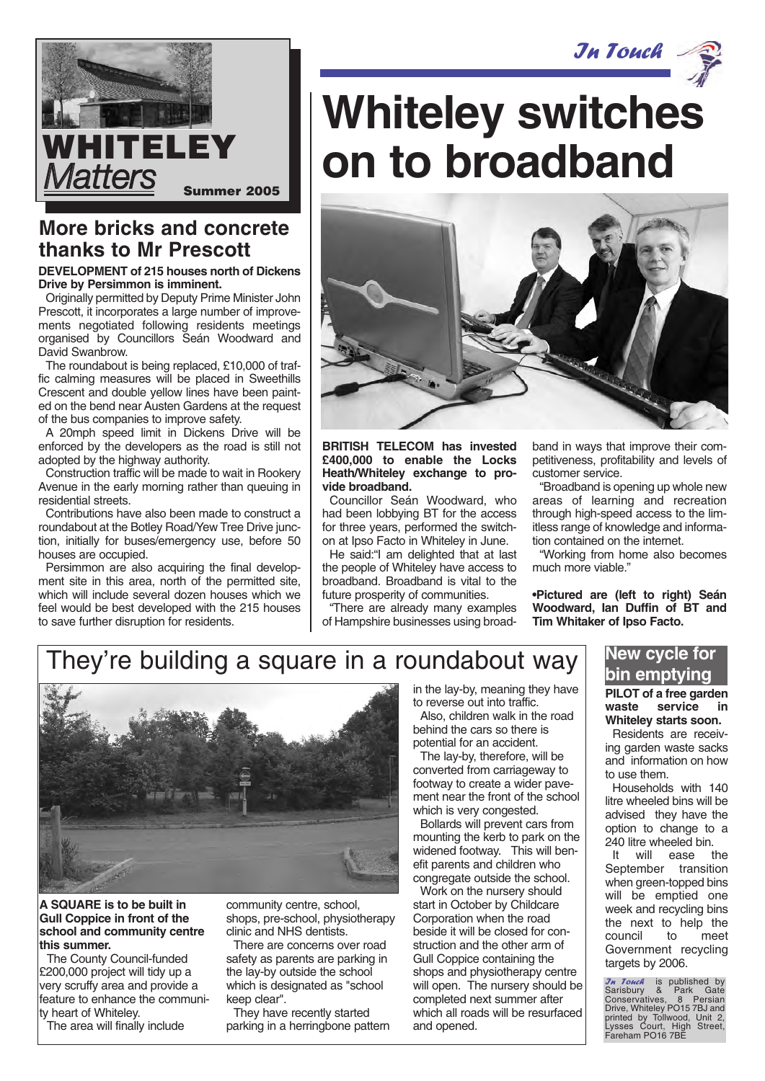



## **More bricks and concrete thanks to Mr Prescott**

#### **DEVELOPMENT of 215 houses north of Dickens Drive by Persimmon is imminent.**

Originally permitted by Deputy Prime Minister John Prescott, it incorporates a large number of improvements negotiated following residents meetings organised by Councillors Seán Woodward and David Swanbrow.

The roundabout is being replaced, £10,000 of traffic calming measures will be placed in Sweethills Crescent and double yellow lines have been painted on the bend near Austen Gardens at the request of the bus companies to improve safety.

A 20mph speed limit in Dickens Drive will be enforced by the developers as the road is still not adopted by the highway authority.

Construction traffic will be made to wait in Rookery Avenue in the early morning rather than queuing in residential streets.

Contributions have also been made to construct a roundabout at the Botley Road/Yew Tree Drive junction, initially for buses/emergency use, before 50 houses are occupied.

Persimmon are also acquiring the final development site in this area, north of the permitted site, which will include several dozen houses which we feel would be best developed with the 215 houses to save further disruption for residents.

# **Whiteley switches HITELEY** | on to broadband



**BRITISH TELECOM has invested £400,000 to enable the Locks Heath/Whiteley exchange to provide broadband.**

Councillor Seán Woodward, who had been lobbying BT for the access for three years, performed the switchon at Ipso Facto in Whiteley in June.

He said:"I am delighted that at last the people of Whiteley have access to broadband. Broadband is vital to the future prosperity of communities.

"There are already many examples of Hampshire businesses using broadband in ways that improve their competitiveness, profitability and levels of customer service.

"Broadband is opening up whole new areas of learning and recreation through high-speed access to the limitless range of knowledge and information contained on the internet.

"Working from home also becomes much more viable."

**•Pictured are (left to right) Seán Woodward, Ian Duffin of BT and Tim Whitaker of Ipso Facto.**

## They're building a square in a roundabout way



**A SQUARE is to be built in Gull Coppice in front of the school and community centre this summer.**

The County Council-funded £200,000 project will tidy up a very scruffy area and provide a feature to enhance the community heart of Whiteley.

The area will finally include

community centre, school, shops, pre-school, physiotherapy clinic and NHS dentists.

There are concerns over road safety as parents are parking in the lay-by outside the school which is designated as "school keep clear".

They have recently started parking in a herringbone pattern in the lay-by, meaning they have to reverse out into traffic.

Also, children walk in the road behind the cars so there is potential for an accident.

The lay-by, therefore, will be converted from carriageway to footway to create a wider pavement near the front of the school which is very congested.

Bollards will prevent cars from mounting the kerb to park on the widened footway. This will benefit parents and children who congregate outside the school.

Work on the nursery should start in October by Childcare Corporation when the road beside it will be closed for construction and the other arm of Gull Coppice containing the shops and physiotherapy centre will open. The nursery should be completed next summer after which all roads will be resurfaced and opened.

#### **New cycle for bin emptying**

#### **PILOT of a free garden waste service in Whiteley starts soon.**

Residents are receiving garden waste sacks and information on how to use them.

Households with 140 litre wheeled bins will be advised they have the option to change to a 240 litre wheeled bin.

It will ease the September transition when green-topped bins will be emptied one week and recycling bins the next to help the council to meet Government recycling targets by 2006.

*J<sub>M</sub> Touch* is published by Sarisbury & Park Gate Conservatives, 8 Persian Drive, Whiteley PO15 7BJ and printed by Tollwood, Unit 2, Lysses Court, High Street, Fareham PO16 7BE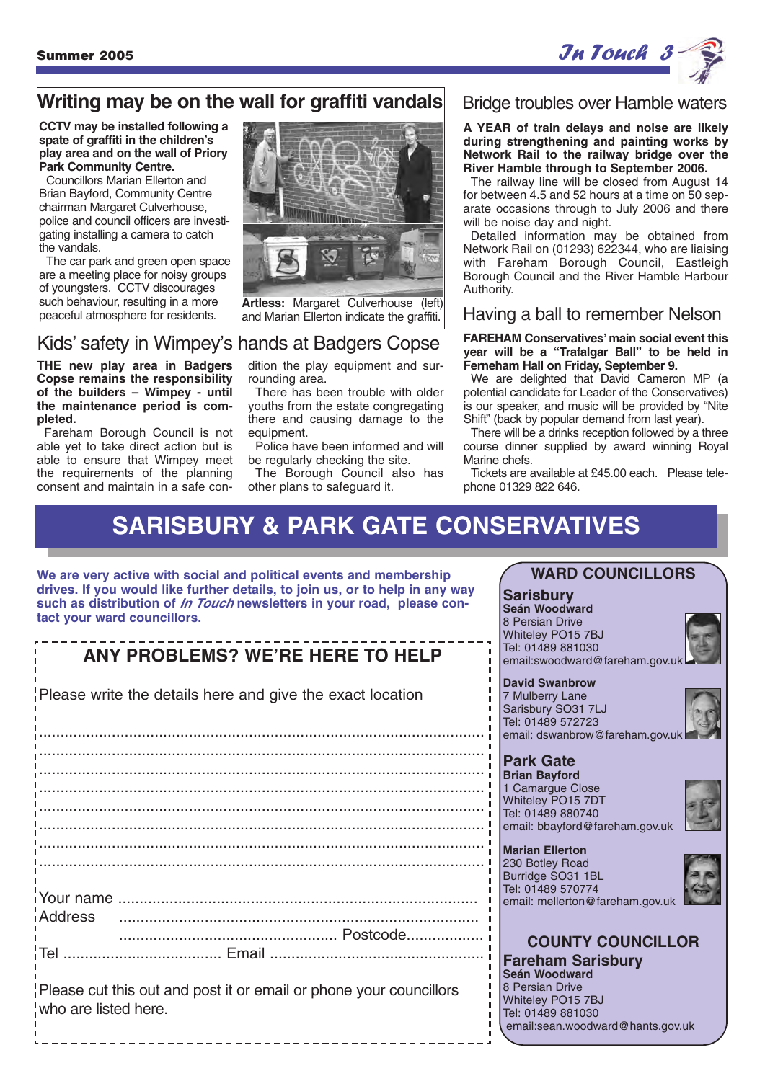

## **Writing may be on the wall for graffiti vandals**

**CCTV may be installed following a spate of graffiti in the children's play area and on the wall of Priory Park Community Centre.**

Councillors Marian Ellerton and Brian Bayford, Community Centre chairman Margaret Culverhouse, police and council officers are investigating installing a camera to catch the vandals.

The car park and green open space are a meeting place for noisy groups of youngsters. CCTV discourages such behaviour, resulting in a more peaceful atmosphere for residents.



**Artless:** Margaret Culverhouse (left) and Marian Ellerton indicate the graffiti.

### Kids' safety in Wimpey's hands at Badgers Copse

**THE new play area in Badgers Copse remains the responsibility of the builders – Wimpey - until the maintenance period is completed.** 

Fareham Borough Council is not able yet to take direct action but is able to ensure that Wimpey meet the requirements of the planning consent and maintain in a safe condition the play equipment and surrounding area.

There has been trouble with older youths from the estate congregating there and causing damage to the equipment.

Police have been informed and will be regularly checking the site.

The Borough Council also has other plans to safeguard it.

#### Bridge troubles over Hamble waters

**A YEAR of train delays and noise are likely during strengthening and painting works by Network Rail to the railway bridge over the River Hamble through to September 2006.**

The railway line will be closed from August 14 for between 4.5 and 52 hours at a time on 50 separate occasions through to July 2006 and there will be noise day and night.

Detailed information may be obtained from Network Rail on (01293) 622344, who are liaising with Fareham Borough Council, Eastleigh Borough Council and the River Hamble Harbour Authority.

#### Having a ball to remember Nelson

**FAREHAM Conservatives' main social event this year will be a "Trafalgar Ball" to be held in Ferneham Hall on Friday, September 9.** 

We are delighted that David Cameron MP (a potential candidate for Leader of the Conservatives) is our speaker, and music will be provided by "Nite Shift" (back by popular demand from last year).

There will be a drinks reception followed by a three course dinner supplied by award winning Royal Marine chefs.

Tickets are available at £45.00 each. Please telephone 01329 822 646.

## **SARISBURY & PARK GATE CONSERVATIVES**

**We are very active with social and political events and membership drives. If you would like further details, to join us, or to help in any way such as distribution of In Touch newsletters in your road, please contact your ward councillors.**

## **ANY PROBLEMS? WE'RE HERE TO HELP**

Please write the details here and give the exact location

........................................................................................................ ........................................................................................................ ........................................................................................................ ........................................................................................................ ........................................................................................................ ........................................................................................................ ........................................................................................................ Your name .................................................................................... Address .................................................................................... ................................................... Postcode.................. Tel ..................................... Email ..................................................

Please cut this out and post it or email or phone your councillors who are listed here.

## **WARD COUNCILLORS**

**Sarisbury Seán Woodward**

8 Persian Drive Whiteley PO15 7BJ Tel: 01489 881030 email:swoodward@fareham.gov.uk

#### **David Swanbrow**

7 Mulberry Lane Sarisbury SO31 7LJ Tel: 01489 572723 email: dswanbrow@fareham.gov.uk

#### **Park Gate**

**Brian Bayford** 1 Camargue Close Whiteley PO15 7DT Tel: 01489 880740 email: bbayford@fareham.gov.uk



**Marian Ellerton** 230 Botley Road Burridge SO31 1BL Tel: 01489 570774

Tel: 01489 881030



email: mellerton@fareham.gov.uk



email:sean.woodward@hants.gov.uk